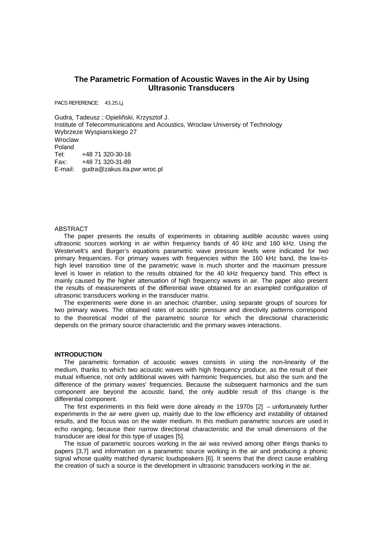# **The Parametric Formation of Acoustic Waves in the Air by Using Ultrasonic Transducers**

PACS REFERENCE: 43.25.Lj

Gudra, Tadeusz ; Opieliñski, Krzysztof J. Institute of Telecommunications and Acoustics, Wroclaw University of Technology Wybrzeze Wyspianskiego 27 Wroclaw Poland Tel: +48 71 320-30-16 Fax: +48 71 320-31-89 E-mail: gudra@zakus.ita.pwr.wroc.pl

### ABSTRACT

The paper presents the results of experiments in obtaining audible acoustic waves using ultrasonic sources working in air within frequency bands of 40 kHz and 160 kHz. Using the Westervelt's and Burger's equations parametric wave pressure levels were indicated for two primary frequencies. For primary waves with frequencies within the 160 kHz band, the low-tohigh level transition time of the parametric wave is much shorter and the maximum pressure level is lower in relation to the results obtained for the 40 kHz frequency band. This effect is mainly caused by the higher attenuation of high frequency waves in air. The paper also present the results of measurements of the differential wave obtained for an exampled configuration of ultrasonic transducers working in the transducer matrix.

The experiments were done in an anechoic chamber, using separate groups of sources for two primary waves. The obtained rates of acoustic pressure and directivity patterns correspond to the theoretical model of the parametric source for which the directional characteristic depends on the primary source characteristic and the primary waves interactions.

#### **INTRODUCTION**

The parametric formation of acoustic waves consists in using the non-linearity of the medium, thanks to which two acoustic waves with high frequency produce, as the result of their mutual influence, not only additional waves with harmonic frequencies, but also the sum and the difference of the primary waves' frequencies. Because the subsequent harmonics and the sum component are beyond the acoustic band, the only audible result of this change is the differential component.

The first experiments in this field were done already in the 1970s [2] – unfortunately further experiments in the air were given up, mainly due to the low efficiency and instability of obtained results, and the focus was on the water medium. In this medium parametric sources are used in echo ranging, because their narrow directional characteristic and the small dimensions of the transducer are ideal for this type of usages [5].

The issue of parametric sources working in the air was revived among other things thanks to papers [3,7] and information on a parametric source working in the air and producing a phonic signal whose quality matched dynamic loudspeakers [6]. It seems that the direct cause enabling the creation of such a source is the development in ultrasonic transducers working in the air.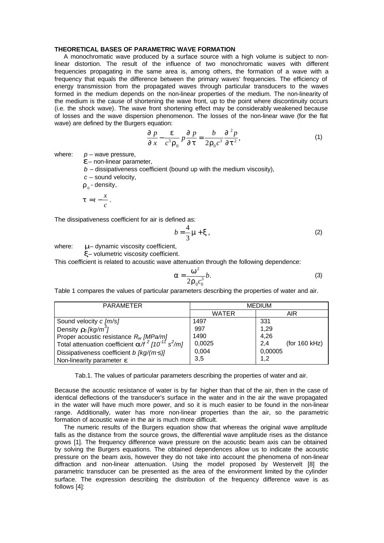## **THEORETICAL BASES OF PARAMETRIC WAVE FORMATION**

A monochromatic wave produced by a surface source with a high volume is subject to nonlinear distortion. The result of the influence of two monochromatic waves with different frequencies propagating in the same area is, among others, the formation of a wave with a frequency that equals the difference between the primary waves' frequencies. The efficiency of energy transmission from the propagated waves through particular transducers to the waves formed in the medium depends on the non-linear properties of the medium. The non-linearity of the medium is the cause of shortening the wave front, up to the point where discontinuity occurs (i.e. the shock wave). The wave front shortening effect may be considerably weakened because of losses and the wave dispersion phenomenon. The losses of the non-linear wave (for the flat wave) are defined by the Burgers equation:

$$
\frac{\oint P}{\oint x} - \frac{\mathbf{e}}{c^3 \mathbf{r}_0} p \frac{\oint P}{\oint t} = \frac{b}{2 \mathbf{r}_0 c^3} \frac{\oint^2 P}{\oint t^2},\tag{1}
$$

where:  $p -$  wave pressure,

*e* – non-linear parameter,

 $b -$  dissipativeness coefficient (bound up with the medium viscosity),

*c* – sound velocity,

 $\bm{r}_{\scriptscriptstyle 0}$  - density,

$$
t = t - \frac{x}{c}.
$$

The dissipativeness coefficient for air is defined as:

$$
b = \frac{4}{3} \mathbf{m} + \mathbf{x} \,,\tag{2}
$$

where: **m**– dynamic viscosity coefficient,

*x*– volumetric viscosity coefficient.

This coefficient is related to acoustic wave attenuation through the following dependence:

$$
a = \frac{w^2}{2r_0 c_0^3} b.
$$
 (3)

Table 1 compares the values of particular parameters describing the properties of water and air.

| <b>PARAMETER</b>                                                            | <b>MEDIUM</b> |                      |
|-----------------------------------------------------------------------------|---------------|----------------------|
|                                                                             | <b>WATER</b>  | AIR                  |
| Sound velocity c [m/s]                                                      | 1497          | 331                  |
| Density $r_0$ [kg/m <sup>3</sup> ]                                          | 997           | 1,29                 |
| Proper acoustic resistance $R_w$ [MPa/m]                                    | 1490          | 4,26                 |
| Total attenuation coefficient $a/f^2$ [10 <sup>-11</sup> s <sup>2</sup> /m] | 0,0025        | (for 160 kHz)<br>2.4 |
| Dissipativeness coefficient b [kg/(m \mome                                  | 0,004         | 0,00005              |
| Non-linearity parameter e                                                   | 3,5           | 1,2                  |

Tab.1. The values of particular parameters describing the properties of water and air.

Because the acoustic resistance of water is by far higher than that of the air, then in the case of identical deflections of the transducer's surface in the water and in the air the wave propagated in the water will have much more power, and so it is much easier to be found in the non-linear range. Additionally, water has more non-linear properties than the air, so the parametric formation of acoustic wave in the air is much more difficult.

The numeric results of the Burgers equation show that whereas the original wave amplitude falls as the distance from the source grows, the differential wave amplitude rises as the distance grows [1]. The frequency difference wave pressure on the acoustic beam axis can be obtained by solving the Burgers equations. The obtained dependences allow us to indicate the acoustic pressure on the beam axis, however they do not take into account the phenomena of non-linear diffraction and non-linear attenuation. Using the model proposed by Westervelt [8] the parametric transducer can be presented as the area of the environment limited by the cylinder surface. The expression describing the distribution of the frequency difference wave is as follows [4]: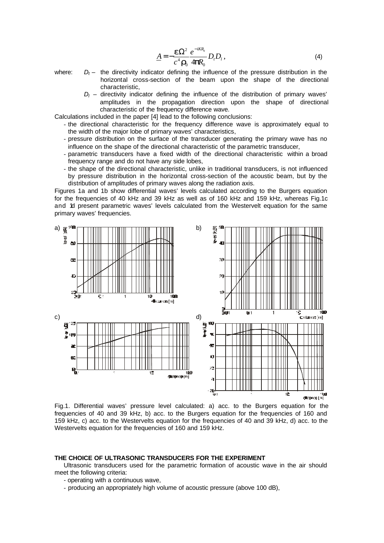$$
\underline{A} = -\frac{\mathbf{e}\Omega^2}{c^4 \mathbf{r}_0} \frac{e^{-i\mathbf{K}R_0}}{4\mathbf{p}R_0} D_t D_t, \qquad (4)
$$

- where:  $D_f$  the directivity indicator defining the influence of the pressure distribution in the horizontal cross-section of the beam upon the shape of the directional characteristic,
	- $D_l$  directivity indicator defining the influence of the distribution of primary waves' amplitudes in the propagation direction upon the shape of directional characteristic of the frequency difference wave.

Calculations included in the paper [4] lead to the following conclusions:

- the directional characteristic for the frequency difference wave is approximately equal to the width of the major lobe of primary waves' characteristics,
- pressure distribution on the surface of the transducer generating the primary wave has no influence on the shape of the directional characteristic of the parametric transducer,
- parametric transducers have a fixed width of the directional characteristic within a broad frequency range and do not have any side lobes,
- the shape of the directional characteristic, unlike in traditional transducers, is not influenced by pressure distribution in the horizontal cross-section of the acoustic beam, but by the distribution of amplitudes of primary waves along the radiation axis.

Figures 1a and 1b show differential waves' levels calculated according to the Burgers equation for the frequencies of 40 kHz and 39 kHz as well as of 160 kHz and 159 kHz, whereas Fig.1c and 1d present parametric waves' levels calculated from the Westervelt equation for the same primary waves' frequencies.



Fig.1. Differential waves' pressure level calculated: a) acc. to the Burgers equation for the frequencies of 40 and 39 kHz, b) acc. to the Burgers equation for the frequencies of 160 and 159 kHz, c) acc. to the Westervelts equation for the frequencies of 40 and 39 kHz, d) acc. to the Westervelts equation for the frequencies of 160 and 159 kHz.

#### **THE CHOICE OF ULTRASONIC TRANSDUCERS FOR THE EXPERIMENT**

Ultrasonic transducers used for the parametric formation of acoustic wave in the air should meet the following criteria:

- operating with a continuous wave,
- producing an appropriately high volume of acoustic pressure (above 100 dB),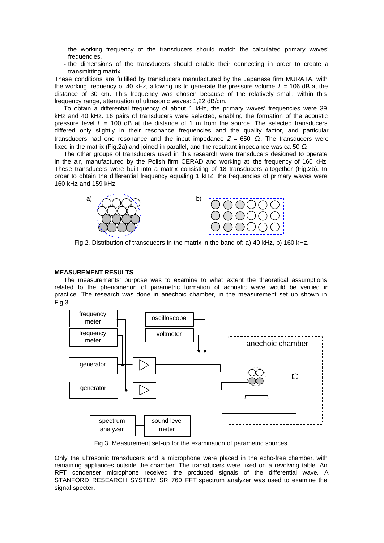- the working frequency of the transducers should match the calculated primary waves' frequencies,
- the dimensions of the transducers should enable their connecting in order to create a transmitting matrix.

These conditions are fulfilled by transducers manufactured by the Japanese firm MURATA, with the working frequency of 40 kHz, allowing us to generate the pressure volume  $L = 106$  dB at the distance of 30 cm. This frequency was chosen because of the relatively small, within this frequency range, attenuation of ultrasonic waves: 1,22 dB/cm.

To obtain a differential frequency of about 1 kHz, the primary waves' frequencies were 39 kHz and 40 kHz. 16 pairs of transducers were selected, enabling the formation of the acoustic pressure level  $L = 100$  dB at the distance of 1 m from the source. The selected transducers differed only slightly in their resonance frequencies and the quality factor, and particular transducers had one resonance and the input impedance *Z* = 650 Ω. The transducers were fixed in the matrix (Fig.2a) and joined in parallel, and the resultant impedance was ca 50  $\Omega$ .

The other groups of transducers used in this research were transducers designed to operate in the air, manufactured by the Polish firm CERAD and working at the frequency of 160 kHz. These transducers were built into a matrix consisting of 18 transducers altogether (Fig.2b). In order to obtain the differential frequency equaling 1 kHZ, the frequencies of primary waves were 160 kHz and 159 kHz.



Fig.2. Distribution of transducers in the matrix in the band of: a) 40 kHz, b) 160 kHz.

### **MEASUREMENT RESULTS**

The measurements' purpose was to examine to what extent the theoretical assumptions related to the phenomenon of parametric formation of acoustic wave would be verified in practice. The research was done in anechoic chamber, in the measurement set up shown in Fig.3.



Fig.3. Measurement set-up for the examination of parametric sources.

Only the ultrasonic transducers and a microphone were placed in the echo-free chamber, with remaining appliances outside the chamber. The transducers were fixed on a revolving table. An RFT condenser microphone received the produced signals of the differential wave. A STANFORD RESEARCH SYSTEM SR 760 FFT spectrum analyzer was used to examine the signal specter.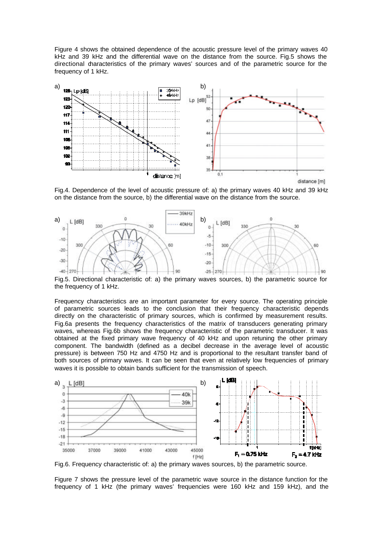Figure 4 shows the obtained dependence of the acoustic pressure level of the primary waves 40 kHz and 39 kHz and the differential wave on the distance from the source. Fig.5 shows the directional characteristics of the primary waves' sources and of the parametric source for the frequency of 1 kHz.



Fig.4. Dependence of the level of acoustic pressure of: a) the primary waves 40 kHz and 39 kHz on the distance from the source, b) the differential wave on the distance from the source.



Fig.5. Directional characteristic of: a) the primary waves sources, b) the parametric source for the frequency of 1 kHz.

Frequency characteristics are an important parameter for every source. The operating principle of parametric sources leads to the conclusion that their frequency characteristic depends directly on the characteristic of primary sources, which is confirmed by measurement results. Fig.6a presents the frequency characteristics of the matrix of transducers generating primary waves, whereas Fig.6b shows the frequency characteristic of the parametric transducer. It was obtained at the fixed primary wave frequency of 40 kHz and upon retuning the other primary component. The bandwidth (defined as a decibel decrease in the average level of acoustic pressure) is between 750 Hz and 4750 Hz and is proportional to the resultant transfer band of both sources of primary waves. It can be seen that even at relatively low frequencies of primary waves it is possible to obtain bands sufficient for the transmission of speech.



Fig.6. Frequency characteristic of: a) the primary waves sources, b) the parametric source.

Figure 7 shows the pressure level of the parametric wave source in the distance function for the frequency of 1 kHz (the primary waves' frequencies were 160 kHz and 159 kHz), and the